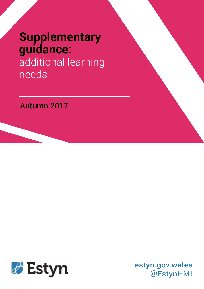# **Supplementary guidance:** additional learning

needs

## Autumn 2017



estyn.gov.wales @EstynHMI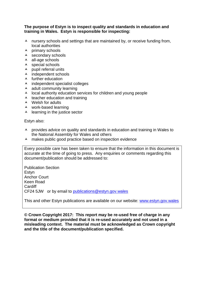#### **The purpose of Estyn is to inspect quality and standards in education and training in Wales. Estyn is responsible for inspecting:**

- $\lambda$  nursery schools and settings that are maintained by, or receive funding from, local authorities
- $\lambda$  primary schools
- $\triangle$  secondary schools
- $\lambda$  all-age schools
- $\lambda$  special schools
- $\lambda$  pupil referral units
- $\lambda$  independent schools
- $\lambda$  further education
- $\lambda$  independent specialist colleges
- $\lambda$  adult community learning
- $\lambda$  local authority education services for children and young people
- $\lambda$  teacher education and training
- $\lambda$  Welsh for adults
- work-based learning
- $\lambda$  learning in the justice sector

Estyn also:

- $\lambda$  provides advice on quality and standards in education and training in Wales to the National Assembly for Wales and others
- $\lambda$  makes public good practice based on inspection evidence

Every possible care has been taken to ensure that the information in this document is accurate at the time of going to press. Any enquiries or comments regarding this document/publication should be addressed to:

Publication Section **Estvn** Anchor Court Keen Road **Cardiff** CF24 5JW or by email to [publications@estyn.gov.wales](mailto:publications@estyn.gov.wales)

This and other Estyn publications are available on our website: [www.estyn.gov.wales](http://www.estyn.gov.wales/)

**© Crown Copyright 2017: This report may be re-used free of charge in any format or medium provided that it is re-used accurately and not used in a misleading context. The material must be acknowledged as Crown copyright and the title of the document/publication specified.**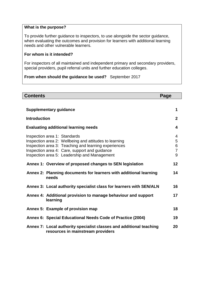#### **What is the purpose?**

To provide further guidance to inspectors, to use alongside the sector guidance, when evaluating the outcomes and provision for learners with additional learning needs and other vulnerable learners.

#### **For whom is it intended?**

For inspectors of all maintained and independent primary and secondary providers, special providers, pupil referral units and further education colleges.

**From when should the guidance be used?** September 2017

| <b>Contents</b><br>Page                                                                                                                                                                                                                         |                                    |  |
|-------------------------------------------------------------------------------------------------------------------------------------------------------------------------------------------------------------------------------------------------|------------------------------------|--|
|                                                                                                                                                                                                                                                 |                                    |  |
| <b>Supplementary guidance</b>                                                                                                                                                                                                                   | 1                                  |  |
| <b>Introduction</b>                                                                                                                                                                                                                             | $\mathbf{2}$                       |  |
| <b>Evaluating additional learning needs</b>                                                                                                                                                                                                     | $\overline{\mathbf{4}}$            |  |
| Inspection area 1: Standards<br>Inspection area 2: Wellbeing and attitudes to learning<br>Inspection area 3: Teaching and learning experiences<br>Inspection area 4: Care, support and guidance<br>Inspection area 5: Leadership and Management | 4<br>5<br>6<br>$\overline{7}$<br>9 |  |
| Annex 1: Overview of proposed changes to SEN legislation                                                                                                                                                                                        | 12                                 |  |
| Annex 2: Planning documents for learners with additional learning<br>needs                                                                                                                                                                      | 14                                 |  |
| Annex 3: Local authority specialist class for learners with SEN/ALN                                                                                                                                                                             | 16                                 |  |
| Annex 4: Additional provision to manage behaviour and support<br>learning                                                                                                                                                                       | 17                                 |  |
| Annex 5: Example of provision map                                                                                                                                                                                                               | 18                                 |  |
| Annex 6: Special Educational Needs Code of Practice (2004)                                                                                                                                                                                      | 19                                 |  |
| Annex 7: Local authority specialist classes and additional teaching<br>resources in mainstream providers                                                                                                                                        | 20                                 |  |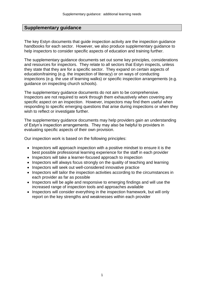#### **Supplementary guidance**

The key Estyn documents that guide inspection activity are the inspection guidance handbooks for each sector. However, we also produce supplementary guidance to help inspectors to consider specific aspects of education and training further.

The supplementary guidance documents set out some key principles, considerations and resources for inspectors. They relate to all sectors that Estyn inspects, unless they state that they are for a specific sector. They expand on certain aspects of education/training (e.g. the inspection of literacy) or on ways of conducting inspections (e.g. the use of learning walks) or specific inspection arrangements (e.g. guidance on inspecting church schools).

The supplementary guidance documents do not aim to be comprehensive. Inspectors are not required to work through them exhaustively when covering any specific aspect on an inspection. However, inspectors may find them useful when responding to specific emerging questions that arise during inspections or when they wish to reflect or investigate further.

The supplementary guidance documents may help providers gain an understanding of Estyn's inspection arrangements. They may also be helpful to providers in evaluating specific aspects of their own provision.

Our inspection work is based on the following principles:

- Inspectors will approach inspection with a positive mindset to ensure it is the best possible professional learning experience for the staff in each provider
- Inspectors will take a learner-focused approach to inspection
- Inspectors will always focus strongly on the quality of teaching and learning
- Inspectors will seek out well-considered innovative practice
- Inspectors will tailor the inspection activities according to the circumstances in each provider as far as possible
- Inspectors will be agile and responsive to emerging findings and will use the increased range of inspection tools and approaches available
- Inspectors will consider everything in the inspection framework, but will only report on the key strengths and weaknesses within each provider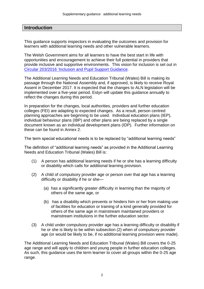#### **Introduction**

This guidance supports inspectors in evaluating the outcomes and provision for learners with additional learning needs and other vulnerable learners.

The Welsh Government aims for all learners to have the best start in life with opportunities and encouragement to achieve their full potential in providers that provide inclusive and supportive environments. This vision for inclusion is set out in Circular 203/2016 ['Inclusion and Pupil Support](http://gov.wales/docs/dcells/publications/160318-inclusion-and-pupil-support-en.pdf) Guidance.

The Additional Learning Needs and Education Tribunal (Wales) Bill is making its passage through the National Assembly and, if approved, is likely to receive Royal Assent in December 2017. It is expected that the changes to ALN legislation will be implemented over a five-year period. Estyn will update this guidance annually to reflect the changes during this period.

In preparation for the changes, local authorities, providers and further education colleges (FEI) are adapting to expected changes. As a result, person centred planning approaches are beginning to be used. Individual education plans (IEP), individual behaviour plans (IBP) and other plans are being replaced by a single document known as an individual development plans (IDP). Further information on these can be found in Annex 2.

The term special educational needs is to be replaced by "additional learning needs"

The definition of "additional learning needs" as provided in the Additional Learning Needs and Education Tribunal (Wales) Bill is:

- (1) A person has additional learning needs if he or she has a learning difficulty or disability which calls for additional learning provision.
- (2) A child of compulsory provider age or person over that age has a learning difficulty or disability if he or she—
	- (a) has a significantly greater difficulty in learning than the majority of others of the same age, or
	- (b) has a disability which prevents or hinders him or her from making use of facilities for education or training of a kind generally provided for others of the same age in mainstream maintained providers or mainstream institutions in the further education sector.
- (3) A child under compulsory provider age has a learning difficulty or disability if he or she is likely to be within subsection (2) when of compulsory provider age (or would be likely to be, if no additional learning provision were made).

The Additional Learning Needs and Education Tribunal (Wales) Bill covers the 0-25 age range and will apply to children and young people in further education colleges. As such, this guidance uses the term learner to cover all groups within the 0-25 age range.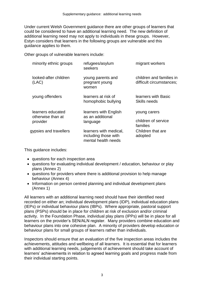Under current Welsh Government guidance there are other groups of learners that could be considered to have an additional learning need. The new definition of additional learning need may not apply to individuals in these groups. However, Estyn considers that learners in the following groups are vulnerable and this guidance applies to them.

Other groups of vulnerable learners include:

| minority ethnic groups                             | refugees/asylum<br>seekers                                            | migrant workers                                      |
|----------------------------------------------------|-----------------------------------------------------------------------|------------------------------------------------------|
| looked-after children<br>(LAC)                     | young parents and<br>pregnant young<br>women                          | children and families in<br>difficult circumstances; |
| young offenders                                    | learners at risk of<br>homophobic bullying                            | learners with Basic<br>Skills needs                  |
| learners educated<br>otherwise than at<br>provider | learners with English<br>as an additional<br>language                 | young carers<br>children of service<br>families      |
| gypsies and travellers                             | learners with medical,<br>including those with<br>mental health needs | Children that are<br>adopted                         |
|                                                    |                                                                       |                                                      |

This guidance includes:

- questions for each inspection area
- questions for evaluating individual development / education, behaviour or play plans (Annex 2)
- questions for providers where there is additional provision to help manage behaviour (Annex 4)
- Information on person centred planning and individual development plans (Annex 1)

All learners with an additional learning need should have their identified need recorded on either an; individual development plans (IDP), individual education plans (IEPs) or individual behaviour plans (IBPs). Where appropriate, pastoral support plans (PSPs) should be in place for children at risk of exclusion and/or criminal activity. In the Foundation Phase, individual play plans (IPPs) will be in place for all learners on the provider's SEN/ALN register. Many providers combine education and behaviour plans into one cohesive plan. A minority of providers develop education or behaviour plans for small groups of learners rather than individuals.

Inspectors should ensure that an evaluation of the five inspection areas includes the achievements, attitudes and wellbeing of all learners. It is essential that for learners with additional learning needs, judgements of achievement should take account of learners' achievements in relation to agreed learning goals and progress made from their individual starting points.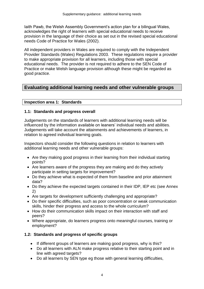Iaith Pawb, the Welsh Assembly Government's action plan for a bilingual Wales, acknowledges the right of learners with special educational needs to receive provision in the language of their choice as set out in the revised special educational needs Code of Practice for Wales (2002).

All independent providers in Wales are required to comply with the Independent Provider Standards (Wales) Regulations 2003. These regulations require a provider to make appropriate provision for all learners, including those with special educational needs. The provider is not required to adhere to the SEN Code of Practice or make Welsh language provision although these might be regarded as good practice.

### **Evaluating additional learning needs and other vulnerable groups**

#### **Inspection area 1: Standards**

#### **1.1: Standards and progress overall**

Judgements on the standards of learners with additional learning needs will be influenced by the information available on leaners' individual needs and abilities. Judgements will take account the attainments and achievements of learners, in relation to agreed individual learning goals.

Inspectors should consider the following questions in relation to learners with additional learning needs and other vulnerable groups:

- Are they making good progress in their learning from their individual starting points?
- Are learners aware of the progress they are making and do they actively participate in setting targets for improvement?
- Do they achieve what is expected of them from baseline and prior attainment data?
- Do they achieve the expected targets contained in their IDP, IEP etc (see Annex 2)
- Are targets for development sufficiently challenging and appropriate?
- Do their specific difficulties, such as poor concentration or weak communication skills, hinder their progress and access to the whole curriculum?
- How do their communication skills impact on their interaction with staff and peers?
- Where appropriate, do learners progress onto meaningful courses, training or employment?

#### **1.2: Standards and progress of specific groups**

- If different groups of learners are making good progress, why is this?
- Do all learners with ALN make progress relative to their starting point and in line with agreed targets?
- Do all learners by SEN type eg those with general learning difficulties,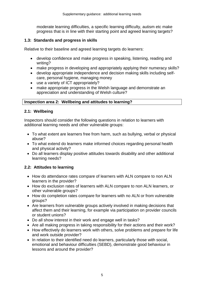moderate learning difficulties, a specific learning difficulty, autism etc make progress that is in line with their starting point and agreed learning targets?

#### **1.3: Standards and progress in skills**

Relative to their baseline and agreed learning targets do learners:

- develop confidence and make progress in speaking, listening, reading and writing?
- make progress in developing and appropriately applying their numeracy skills?
- develop appropriate independence and decision making skills including selfcare, personal hygiene, managing money
- use a variety of ICT appropriately?
- make appropriate progress in the Welsh language and demonstrate an appreciation and understanding of Welsh culture?

#### **Inspection area 2: Wellbeing and attitudes to learning?**

#### **2.1: Wellbeing**

Inspectors should consider the following questions in relation to learners with additional learning needs and other vulnerable groups:

- To what extent are learners free from harm, such as bullying, verbal or physical abuse?
- To what extend do learners make informed choices regarding personal health and physical activity?
- Do all learners display positive attitudes towards disability and other additional learning needs?

#### **2.2: Attitudes to learning**

- How do attendance rates compare of learners with ALN compare to non ALN learners in the provider?
- How do exclusion rates of learners with ALN compare to non ALN learners, or other vulnerable groups?
- How do completion rates compare for learners with no ALN or from vulnerable groups?
- Are learners from vulnerable groups actively involved in making decisions that affect them and their learning, for example via participation on provider councils or student unions?
- Do all show interest in their work and engage well in tasks?
- Are all making progress in taking responsibility for their actions and their work?
- How effectively do learners work with others, solve problems and prepare for life and work outside provider?
- In relation to their identified need do learners, particularly those with social, emotional and behaviour difficulties (SEBD), demonstrate good behaviour in lessons and around the provider?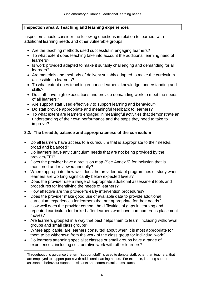#### **Inspection area 3: Teaching and learning experiences**

Inspectors should consider the following questions in relation to learners with additional learning needs and other vulnerable groups:

- Are the teaching methods used successful in engaging learners?
- To what extent does teaching take into account the additional learning need of learners?
- Is work provided adapted to make it suitably challenging and demanding for all learners?
- Are materials and methods of delivery suitably adapted to make the curriculum accessible to learners?
- To what extent does teaching enhance learners' knowledge, understanding and skills?
- Do staff have high expectations and provide demanding work to meet the needs of all learners?
- Are support staff used effectively to support learning and behaviour?<sup>1</sup>
- Do staff provide appropriate and meaningful feedback to learners?
- To what extent are learners engaged in meaningful activities that demonstrate an understanding of their own performance and the steps they need to take to improve?

#### **3.2: The breadth, balance and appropriateness of the curriculum**

- Do all learners have access to a curriculum that is appropriate to their need/s, broad and balanced?
- Do learners have any curriculum needs that are not being provided by the provider/FEI?
- Does the provider have a provision map (See Annex 5) for inclusion that is monitored and reviewed annually?
- Where appropriate, how well does the provider adapt programmes of study when learners are working significantly below expected levels?
- Does the provider use a range of appropriate additional assessment tools and procedures for identifying the needs of learners?
- How effective are the provider's early intervention procedures?
- Does the provider make good use of available data to provide additional curriculum experiences for learners that are appropriate for their needs?
- How well does the provider combat the difficulties of gaps in learning and repeated curriculum for looked-after learners who have had numerous placement moves?
- Are learners grouped in a way that best helps them to learn, including withdrawal groups and small class groups?
- Where applicable, are learners consulted about when it is most appropriate for them to be withdrawn from the work of the class group for individual work?
- Do learners attending specialist classes or small groups have a range of experiences, including collaborative work with other learners?

 $\overline{\phantom{a}}$ 

 $<sup>1</sup>$  Throughout this guidance the term 'support staff' 'is used to denote staff, other than teachers, that</sup> are employed to support pupils with additional learning needs. For example, learning support assistants, behaviour support assistants and communication assistants.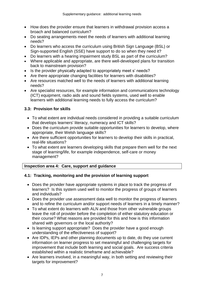- How does the provider ensure that learners in withdrawal provision access a broach and balanced curriculum?
- Do seating arrangements meet the needs of learners with additional learning needs?
- Do learners who access the curriculum using British Sign Language (BSL) or Sign-supported English (SSE) have support to do so when they need it?
- Do learners with a hearing impairment study BSL as part of the curriculum?
- Where applicable and appropriate, are there well-developed plans for transition back to mainstream provision?
- Is the provider physically adapted to appropriately meet s' needs?
- Are there appropriate changing facilities for learners with disabilities?
- Are resources matched well to the needs of learners with additional learning needs?
- Are specialist resources, for example information and communications technology (ICT) equipment, radio aids and sound fields systems, used well to enable learners with additional learning needs to fully access the curriculum?

#### **3.3: Provision for skills**

- To what extent are individual needs considered in providing a suitable curriculum that develops learners' literacy, numeracy and ICT skills?
- Does the curriculum provide suitable opportunities for learners to develop, where appropriate, their Welsh language skills?
- Are there sufficient opportunities for learners to develop their skills in practical, real-life situations?
- To what extent are learners developing skills that prepare them well for the next stage of learning/life, for example independence, self-care or money management?

#### **Inspection area 4: Care, support and guidance**

#### **4.1: Tracking, monitoring and the provision of learning support**

- Does the provider have appropriate systems in place to track the progress of learners? Is this system used well to monitor the progress of groups of learners and individuals?
- Does the provider use assessment data well to monitor the progress of learners and to refine the curriculum and/or support needs of learners in a timely manner?
- To what extent do learners with ALN and those from other vulnerable groups leave the roll of provider before the completion of either statutory education or their course? What reasons are provided for this and how is this information shared with governors or the local authority?
- Is learning support appropriate? Does the provider have a good enough understanding of the effectiveness of support?
- Are IDPs, IEPs and other planning documents up to date, do they use current information on learner progress to set meaningful and challenging targets for improvement that include both learning and social goals. Are success criteria established within a realistic timeframe and achievable?
- Are learners involved, in a meaningful way, in both setting and reviewing their targets for improvement?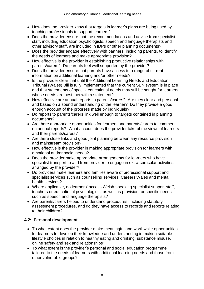- How does the provider know that targets in learner's plans are being used by teaching professionals to support learners?
- Does the provider ensure that the recommendations and advice from specialist staff, including education psychologists, speech and language therapists and other advisory staff, are included in IDPs or other planning documents?
- Does the provider engage effectively with partners, including parents, to identify the needs of learners and make appropriate provision?
- How effective is the provider in establishing productive relationships with parents/carers? Do parents feel well supported by the provider?
- Does the provider ensure that parents have access to a range of current information on additional learning and/or other needs?
- Is the provider clear that until the Additional Learning Needs and Education Tribunal (Wales) Bill is fully implemented that the current SEN system is in place and that statements of special educational needs may still be sought for learners whose needs are best met with a statement?
- How effective are annual reports to parents/carers? Are they clear and personal and based on a sound understanding of the learner? Do they provide a good enough account of the progress made by individuals?
- Do reports to parents/carers link well enough to targets contained in planning documents?
- Are there appropriate opportunities for learners and parents/carers to comment on annual reports? What account does the provider take of the views of learners and their parents/carers?
- Are there close links and good joint planning between any resource provision and mainstream provision?
- How effective is the provider in making appropriate provision for learners with emotional and/or social needs?
- Does the provider make appropriate arrangements for learners who have specialist transport to and from provider to engage in extra-curricular activities arranged by the provider?
- Do providers make learners and families aware of professional support and specialist services such as counselling services, Careers Wales and mental health services?
- Where applicable, do learners' access Welsh-speaking specialist support staff, teachers or educational psychologists, as well as provision for specific needs such as speech and language therapists?
- Are parents/carers helped to understand procedures, including statutory assessment procedures, and do they have access to records and reports relating to their children?

### **4.2: Personal development**

- To what extent does the provider make meaningful and worthwhile opportunities for learners to develop their knowledge and understanding in making suitable lifestyle choices in relation to healthy eating and drinking, substance misuse, online safety and sex and relationships?
- To what extent is the provider's personal and social education programme tailored to the needs of learners with additional learning needs and those from other vulnerable groups?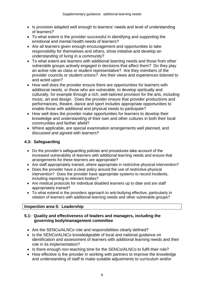- Is provision adapted well enough to learners' needs and level of understanding of learners?
- To what extent is the provider successful in identifying and supporting the emotional and mental health needs of learners?
- Are all learners given enough encouragement and opportunities to take responsibility for themselves and others, show initiative and develop an understanding of living in a community?
- To what extent are learners with additional learning needs and those from other vulnerable groups actively engaged in decisions that affect them? Do they play an active role as class or student representative? Are they members of the provider councils or student unions? Are their views and experiences listened to and acted upon?
- How well does the provider ensure there are opportunities for learners with additional needs, or those who are vulnerable, to develop spiritually and culturally, for example through a rich, well-tailored provision for the arts, including music, art and design. Does the provider ensure that provider productions and performances, theatre, dance and sport includes appropriate opportunities to enable those with additional and physical needs to participate?
- How well does the provider make opportunities for learners to develop their knowledge and understanding of their own and other cultures in both their local communities and farther afield?
- Where applicable, are special examination arrangements well planned, and discussed and agreed with learners?

#### **4.3: Safeguarding**

- Do the provider's safeguarding policies and procedures take account of the increased vulnerability of learners with additional learning needs and ensure that arrangements for these learners are appropriate?
- Are staff appropriately trained, where appropriate in restrictive physical intervention?
- Does the provider have a clear policy around the use of restrictive physical intervention? Does the provider have appropriate systems to record incidents, including reporting to relevant bodies?
- Are medical protocols for individual disabled learners up to date and are staff appropriately trained?
- To what extend is the providers approach to anti-bullying effective, particularly in relation of learners with additional learning needs and other vulnerable groups?

#### **Inspection area 5: Leadership**

#### **5.1: Quality and effectiveness of leaders and managers, including the governing body/management committee**

- Are the SENCo/ALNCo role and responsibilities clearly defined?
- Is the SENCo/ALNCo knowledgeable of local and national guidance on identification and assessment of learners with additional learning needs and their role in its implementation?
- Is there enough non-teaching time for the SENCo/ALNCo to fulfil their role?
- How effective is the provider in working with partners to improve the knowledge and understanding of staff to make suitable adjustments to curriculum and/or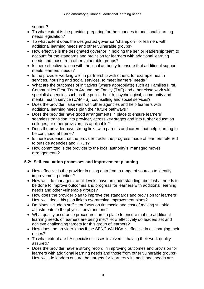support?

- To what extent is the provider preparing for the changes to additional learning needs legislation?
- To what extent does the designated governor "champion" for learners with additional learning needs and other vulnerable groups?
- How effective is the designated governor in holding the senior leadership team to account for the standards and provision for learners with additional learning needs and those from other vulnerable groups?
- Is there effective liaison with the local authority to ensure that additional support meets learners' needs?
- Is the provider working well in partnership with others, for example health services, housing and social services, to meet learners' needs?
- What are the outcomes of initiatives (where appropriate) such as Families First, Communities First, Team Around the Family (TAF) and other close work with specialist agencies such as the police, health, psychological, community and mental health service (CAMHS), counselling and social services?
- Does the provider liaise well with other agencies and help learners with additional learning needs plan their future pathways?
- Does the provider have good arrangements in place to ensure learners' seamless transition into provider, across key stages and into further education colleges, or other provision, as applicable?
- Does the provider have strong links with parents and carers that help learning to be continued at home?
- Is there evidence that the provider tracks the progress made of learners referred to outside agencies and PRUs?
- How committed is the provider to the local authority's 'managed moves' arrangements?

#### **5.2: Self-evaluation processes and improvement planning**

- How effective is the provider in using data from a range of sources to identify improvement priorities?
- How well do managers, at all levels, have an understanding about what needs to be done to improve outcomes and progress for learners with additional learning needs and other vulnerable groups?
- How does the provider plan to improve the standards and provision for learners? How well does this plan link to overarching improvement plans?
- Do plans include a sufficient focus on timescale and cost of making suitable adiustments to the physical environment?
- What quality assurance procedures are in place to ensure that the additional learning needs of learners are being met? How effectively do leaders set and achieve challenging targets for this group of learners?
- How does the provider know if the SENCo/ALNCo is effective in discharging their duties?
- To what extent are LA specialist classes involved in having their work quality assured?
- Does the provider have a strong record in improving outcomes and provision for learners with additional learning needs and those from other vulnerable groups? How well do leaders ensure that targets for learners with additional needs are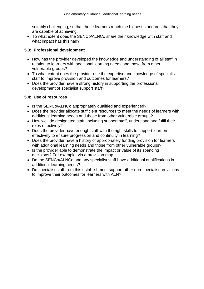suitably challenging, so that these learners reach the highest standards that they are capable of achieving.

 To what extent does the SENCo/ALNCo share their knowledge with staff and what impact has this had?

#### **5.3: Professional development**

- How has the provider developed the knowledge and understanding of all staff in relation to learners with additional learning needs and those from other vulnerable groups?
- To what extent does the provider use the expertise and knowledge of specialist staff to improve provision and outcomes for learners?
- Does the provider have a strong history in supporting the professional development of specialist support staff?

#### **5.4: Use of resources**

- Is the SENCo/ALNCo appropriately qualified and experienced?
- Does the provider allocate sufficient resources to meet the needs of learners with additional learning needs and those from other vulnerable groups?
- How well do designated staff, including support staff, understand and fulfil their roles effectively?
- Does the provider have enough staff with the right skills to support learners effectively to ensure progression and continuity in learning?
- Does the provider have a history of appropriately funding provision for learners with additional learning needs and those from other vulnerable groups?
- Is the provider able to demonstrate the impact or value of its spending decisions? For example, via a provision map
- Do the SENCo/ALNCo and any specialist staff have additional qualifications in additional learning needs?
- Do specialist staff from this establishment support other non-specialist provisions to improve their outcomes for learners with ALN?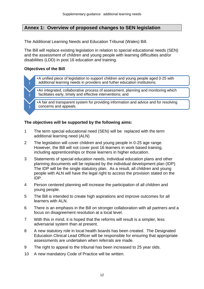#### **Annex 1: Overview of proposed changes to SEN legislation**

The Additional Learning Needs and Education Tribunal (Wales) Bill.

The Bill will replace existing legislation in relation to special educational needs (SEN) and the assessment of children and young people with learning difficulties and/or disabilities (LDD) in post 16 education and training.

#### **Objectives of the Bill**

3

•A unified piece of legislation to support children and young people aged 0-25 with additional learning needs in providers and futher education institutions;

•An integrated, collaborative process of assessment, planning and monitoring which facilitates early, timely and effective interventions; and

•A fair and transparent system for providing information and advice and for resolving concerns and appeals.

#### **The objectives will be supported by the following aims:**

- 1 The term special educational need (SEN) will be replaced with the term additional learning need (ALN)
- 2 The legislation will cover children and young people in 0-25 age range. However, the Bill will not cover post 16 learners in work based training, including apprenticeships or those learners in higher education.
- 3 Statements of special education needs, individual education plans and other planning documents will be replaced by the individual development plan (IDP). The IDP will be the single statutory plan. As a result, all children and young people with ALN will have the legal right to access the provision stated on the IDP.
- 4 Person centered planning will increase the participation of all children and young people.
- 5 The Bill is intended to create high aspirations and improve outcomes for all learners with ALN.
- 6 There is an emphasis in the Bill on stronger collaboration with all partners and a focus on disagreement resolution at a local level.
- 7 With this in mind, it is hoped that the reforms will result is a simpler, less adversarial system than at present.
- 8 A new statutory role in local health boards has been created. The Designated Education Clinical Lead Officer will be responsible for ensuring that appropriate assessments are undertaken when referrals are made.
- 9 The right to appeal to the tribunal has been increased to 25 year olds.
- 10 A new mandatory Code of Practice will be written.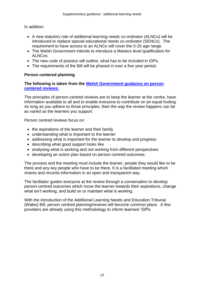In addition:

- A new statutory role of additional learning needs co-ordinator (ALNCo) will be introduced to replace special educational needs co-ordinator (SENCo). The requirement to have access to an ALNCo will cover the 0-25 age range.
- The Welsh Government intends to introduce a Masters level qualification for ALNCos.
- The new code of practice will outline, what has to be included in IDPs.
- The requirements of the Bill will be phased in over a five year period.

#### **Person centered planning**

**The following is taken from the [Welsh Government guidance on person](http://learning.gov.wales/docs/learningwales/publications/150909-reviews-toolkit-en.pdf)  [centered reviews:](http://learning.gov.wales/docs/learningwales/publications/150909-reviews-toolkit-en.pdf)**

The principles of person-centred reviews are to keep the learner at the centre, have information available to all and to enable everyone to contribute on an equal footing. As long as you adhere to those principles, then the way the review happens can be as varied as the learners you support.

Person centred reviews focus on:

- the aspirations of the learner and their family
- understanding what is important to the learner
- addressing what is important for the learner to develop and progress
- describing what good support looks like
- analysing what is working and not working from different perspectives
- developing an action plan based on person-centred outcomes.

The process and the meeting must include the learner, people they would like to be there and any key people who have to be there. It is a facilitated meeting which shares and records information in an open and transparent way.

The facilitator guides everyone at the review through a conversation to develop person-centred outcomes which move the learner towards their aspirations, change what isn't working, and build on or maintain what is working.

With the introduction of the Additional Learning Needs and Education Tribunal (Wales) Bill, person centred planning/reviews will become common place. A few providers are already using this methodology to inform learners' IDPs.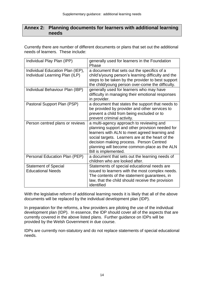#### **Annex 2: Planning documents for learners with additional learning needs**

Currently there are number of different documents or plans that set out the additional needs of learners. These include:

| Individual Play Plan (IPP)                                         | generally used for learners in the Foundation<br>Phase                                                                                                                                                                                                                                                              |
|--------------------------------------------------------------------|---------------------------------------------------------------------------------------------------------------------------------------------------------------------------------------------------------------------------------------------------------------------------------------------------------------------|
| Individual Education Plan (IEP),<br>Individual Learning Plan (ILP) | a document that sets out the specifics of a<br>child's/young person's learning difficulty and the<br>steps to be taken by the provider to best support<br>the child/young person over-come the difficulty.                                                                                                          |
| Individual Behaviour Plan (IBP)                                    | generally used for learners who may have<br>difficulty in managing their emotional responses<br>in provider.                                                                                                                                                                                                        |
| Pastoral Support Plan (PSP)                                        | a document that states the support that needs to<br>be provided by provider and other services to<br>prevent a child from being excluded or to<br>prevent criminal activity.                                                                                                                                        |
| Person centred plans or reviews                                    | a multi-agency approach to reviewing and<br>planning support and other provision needed for<br>learners with ALN to meet agreed learning and<br>social targets. Learners are at the heart of the<br>decision making process. Person Centred<br>planning will become common-place as the ALN<br>Bill is implemented. |
| Personal Education Plan (PEP)                                      | a document that sets out the learning needs of<br>children who are looked after.                                                                                                                                                                                                                                    |
| <b>Statement of Special</b><br><b>Educational Needs</b>            | Statements of special educational needs are<br>issued to learners with the most complex needs.<br>The contents of the statement guarantees, in<br>law, that the child should receive the provision<br>identified                                                                                                    |

With the legislative reform of additional learning needs it is likely that all of the above documents will be replaced by the individual development plan (IDP).

In preparation for the reforms, a few providers are piloting the use of the individual development plan (IDP). In essence, the IDP should cover all of the aspects that are currently covered in the above listed plans. Further guidance on IDPs will be provided by the Welsh Government in due course.

IDPs are currently non-statutory and do not replace statements of special educational needs.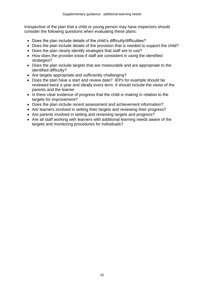Irrespective of the plan that a child or young person may have inspectors should consider the following questions when evaluating these plans:

- Does the plan include details of the child's difficulty/difficulties?
- Does the plan include details of the provision that is needed to support the child?
- Does the plan clearly identify strategies that staff are to use?
- How does the provider know if staff are consistent in using the identified strategies?
- Does the plan include targets that are measurable and are appropriate to the identified difficulty?
- Are targets appropriate and sufficiently challenging?
- Does the plan have a start and review date? IEPs for example should be reviewed twice a year and ideally every term. It should include the views of the parents and the learner
- Is there clear evidence of progress that the child is making in relation to the targets for improvement?
- Does the plan include recent assessment and achievement information?
- Are learners involved in setting their targets and reviewing their progress?
- Are parents involved in setting and reviewing targets and progress?
- Are all staff working with learners with additional learning needs aware of the targets and monitoring procedures for individuals?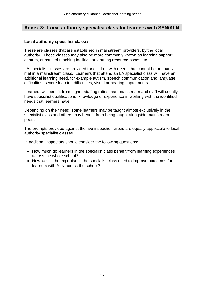#### **Annex 3: Local authority specialist class for learners with SEN/ALN**

#### **Local authority specialist classes**

These are classes that are established in mainstream providers, by the local authority. These classes may also be more commonly known as learning support centres, enhanced teaching facilities or learning resource bases etc.

LA specialist classes are provided for children with needs that cannot be ordinarily met in a mainstream class. Learners that attend an LA specialist class will have an additional learning need, for example autism, speech communication and language difficulties, severe learning difficulties, visual or hearing impairments.

Learners will benefit from higher staffing ratios than mainstream and staff will usually have specialist qualifications, knowledge or experience in working with the identified needs that learners have.

Depending on their need, some learners may be taught almost exclusively in the specialist class and others may benefit from being taught alongside mainstream peers.

The prompts provided against the five inspection areas are equally applicable to local authority specialist classes.

In addition, inspectors should consider the following questions:

- How much do learners in the specialist class benefit from learning experiences across the whole school?
- How well is the expertise in the specialist class used to improve outcomes for learners with ALN across the school?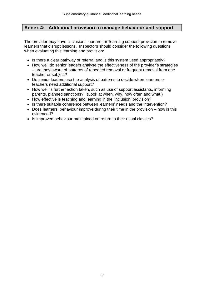#### **Annex 4: Additional provision to manage behaviour and support**

The provider may have 'inclusion', 'nurture' or 'learning support' provision to remove learners that disrupt lessons. Inspectors should consider the following questions when evaluating this learning and provision:

- Is there a clear pathway of referral and is this system used appropriately?
- How well do senior leaders analyse the effectiveness of the provider's strategies – are they aware of patterns of repeated removal or frequent removal from one teacher or subject?
- Do senior leaders use the analysis of patterns to decide when learners or teachers need additional support?
- How well is further action taken, such as use of support assistants, informing parents, planned sanctions? (Look at when, why, how often and what.)
- How effective is teaching and learning in the 'inclusion' provision?
- Is there suitable coherence between learners' needs and the intervention?
- $\bullet$  Does learners' behaviour improve during their time in the provision  $-$  how is this evidenced?
- Is improved behaviour maintained on return to their usual classes?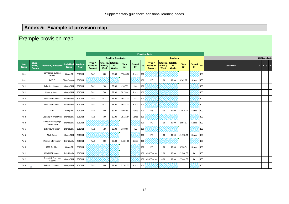#### **Annex 5: Example of provision map**

#### Example provision map **Year Group Class / Pupil / Person Provision / Resource Individual Group Academic Year Type / Grade of Support Total No. of Hrs / Week Total No. of Weeks Total (£) Funded**   $\frac{1}{2}$  By **Type / Grade of Support Total No. of Hrs / Week Total No. of Weeks Total (£) Funded By % Outcomes <sup>1</sup> <sup>2</sup> <sup>3</sup> <sup>4</sup>** Rec Confidence Building<br>Group  $\frac{1}{\text{Group}}$   $\begin{bmatrix} \text{Group} & \text{Group} \end{bmatrix}$   $\begin{bmatrix} \text{Group} & \text{Group} \end{bmatrix}$   $\begin{bmatrix} 2010/11 & 100 \ 100 & 200 \end{bmatrix}$   $\begin{bmatrix} 200 & 100 \ 100 & 200 \end{bmatrix}$   $\begin{bmatrix} \text{Group} & \text{Group} \end{bmatrix}$   $\begin{bmatrix} \text{Group} & \text{Group} \end{bmatrix}$   $\begin{bmatrix} \text{Group} & \text{Group} \end{bmatrix}$ Rec PATHS Class Support 2010/11 #N/A 100 M3 1.00 39.00 £963.02 School 100 Yr 1 Behaviour Support Group SEN 2010/11 TA2 2.00 39.00 £907.55 LA 100 #N/A 100 Yr 1 Literacy Support Group SEN 2010/11 TA2 7.00 39.00 £3,176.41 School 100 #N/A 100 Yr 2 Additional Support Individually 2010/11 TA2 10.00 39.00 £4,537.73 LA 100 #N/A 100 Yr 2 Additional Support Individually 2010/11 TA2 10.00 39.00 £4,537.73 School 100 #N/A 100 Yr 3 SAP Group EI 2010/11 TA2 2.00 39.00 £907.55 School 100 M6 2.00 39.00 £2,414.21 School 100 Yr 4 Catch Up / Dyfal Donc | Individually | 2010/11 | TA2 | 6.00 | 39.00 | £2,722.64 School | 100 | #N/A 100 | #N/A 100 | #N/A 100 | #N/A 100 | #N/A 100 | #N/A 100 | #N/A 100 | #N/A 100 | #N/A 100 | #N/A 100 | #N/A 100 | # Yr 4 Speech & Language<br>Programmes Programmes Individually 2010/11 #N/A <sup>100</sup> M2 1.00 39.00 £891.17 School <sup>100</sup> Yr 5 | Behaviour Support | Individually | 2010/11 | TA2 | 1.50 | 39.00 | £680.66 | LA |100 | 100 | 100 | 100 | Yr 5 Math Group Group SEN 2010/11 #N/A 100 M5 1.00 39.00 £1,118.61 School 100 Yr 6 Medical Intervention Individually 2010/11 TA3 3.00 39.00 £1,684.80 School 100 #N/A 100 Yr 6 MAT Art Club Group EI 2010/11 #N/A 100 M6 1.00 30.00 £928.54 School 100 Yr 1 HI/VI/MSI Support Individually 2010/11 #N/A 100 Specialist Teacher (LA)2.00 30.00 £2,940.00 LA 100 Yr 2 Specialist Teaching<br>Support Support Group SEN 2010/11 #N/A <sup>100</sup> Specialist Teacher (LA)4.00 39.00 £7,644.00 LA <sup>100</sup> Yr 3 Behaviour Support Group SEN 2010/11 TA2 3.00 39.00 £1,361.32 School 100 #N/A 100 **Provision Costs Teaching Assistants Teachers CRIS Analysis**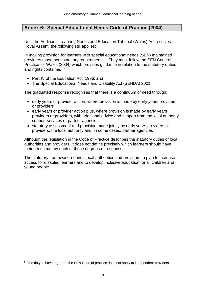#### **Annex 6: Special Educational Needs Code of Practice (2004)**

Until the Additional Learning Needs and Education Tribunal (Wales) Act receives Royal Assent, the following still applies:

In making provision for learners with special educational needs (SEN) maintained providers must meet statutory requirements.<sup>2</sup> They must follow the SEN Code of Practice for Wales (2004) which provides guidance in relation to the statutory duties and rights contained in:

- Part IV of the Education Act, 1996; and
- The Special Educational Needs and Disability Act (SENDA) 2001.

The graduated response recognises that there is a continuum of need through:

- early years or provider action, where provision is made by early years providers or providers
- early years or provider action plus, where provision is made by early years providers or providers, with additional advice and support from the local authority support services or partner agencies
- statutory assessment and provision made jointly by early years providers or providers, the local authority and, in some cases, partner agencies

Although the legislation in the Code of Practice describes the statutory duties of local authorities and providers, it does not define precisely which learners should have their needs met by each of these degrees of response.

The statutory framework requires local authorities and providers to plan to increase access for disabled learners and to develop inclusive education for all children and young people.

 $\overline{a}$ 

<sup>&</sup>lt;sup>2</sup> The duty to have regard to the SEN Code of practice does not apply to independent providers.